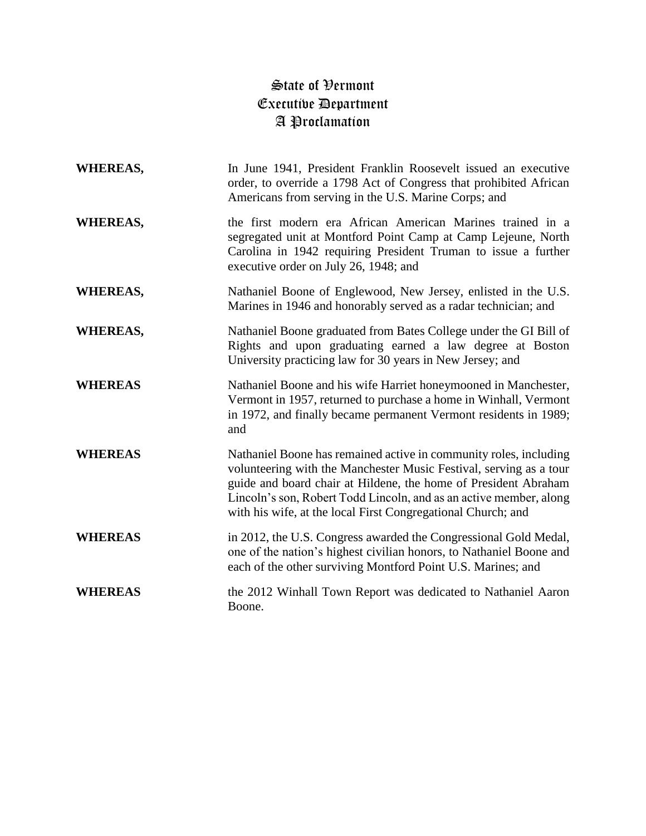## State of Vermont Executive Department A Proclamation

| <b>WHEREAS,</b> | In June 1941, President Franklin Roosevelt issued an executive<br>order, to override a 1798 Act of Congress that prohibited African<br>Americans from serving in the U.S. Marine Corps; and                                                                                                                                                      |
|-----------------|--------------------------------------------------------------------------------------------------------------------------------------------------------------------------------------------------------------------------------------------------------------------------------------------------------------------------------------------------|
| <b>WHEREAS,</b> | the first modern era African American Marines trained in a<br>segregated unit at Montford Point Camp at Camp Lejeune, North<br>Carolina in 1942 requiring President Truman to issue a further<br>executive order on July 26, 1948; and                                                                                                           |
| <b>WHEREAS,</b> | Nathaniel Boone of Englewood, New Jersey, enlisted in the U.S.<br>Marines in 1946 and honorably served as a radar technician; and                                                                                                                                                                                                                |
| <b>WHEREAS,</b> | Nathaniel Boone graduated from Bates College under the GI Bill of<br>Rights and upon graduating earned a law degree at Boston<br>University practicing law for 30 years in New Jersey; and                                                                                                                                                       |
| <b>WHEREAS</b>  | Nathaniel Boone and his wife Harriet honeymooned in Manchester,<br>Vermont in 1957, returned to purchase a home in Winhall, Vermont<br>in 1972, and finally became permanent Vermont residents in 1989;<br>and                                                                                                                                   |
| <b>WHEREAS</b>  | Nathaniel Boone has remained active in community roles, including<br>volunteering with the Manchester Music Festival, serving as a tour<br>guide and board chair at Hildene, the home of President Abraham<br>Lincoln's son, Robert Todd Lincoln, and as an active member, along<br>with his wife, at the local First Congregational Church; and |
| <b>WHEREAS</b>  | in 2012, the U.S. Congress awarded the Congressional Gold Medal,<br>one of the nation's highest civilian honors, to Nathaniel Boone and<br>each of the other surviving Montford Point U.S. Marines; and                                                                                                                                          |
| <b>WHEREAS</b>  | the 2012 Winhall Town Report was dedicated to Nathaniel Aaron<br>Boone.                                                                                                                                                                                                                                                                          |